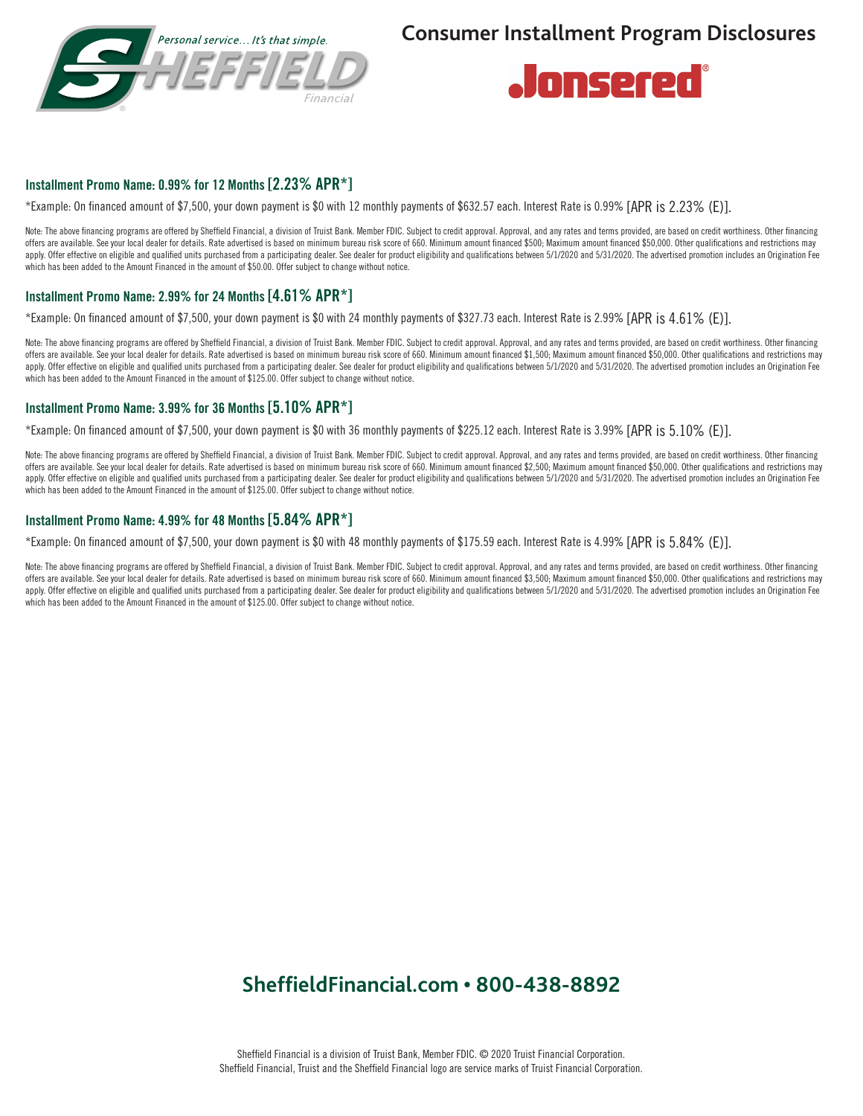



# Installment Promo Name: 0.99% for 12 Months [2.23% APR\*]

\*Example: On financed amount of \$7,500, your down payment is \$0 with 12 monthly payments of \$632.57 each. Interest Rate is 0.99% [APR is 2.23% (E)].

Note: The above financing programs are offered by Sheffield Financial, a division of Truist Bank. Member FDIC. Subject to credit approval. Approval, and any rates and terms provided, are based on credit worthiness. Other f offers are available. See your local dealer for details. Rate advertised is based on minimum bureau risk score of 660. Minimum amount financed \$500; Maximum amount financed \$50,000. Other qualifications and restrictions may apply. Offer effective on eligible and qualified units purchased from a participating dealer. See dealer for product eligibility and qualifications between 5/1/2020 and 5/31/2020. The advertised promotion includes an Origi which has been added to the Amount Financed in the amount of \$50.00. Offer subject to change without notice.

#### Installment Promo Name: 2.99% for 24 Months [4.61% APR\*]

\*Example: On financed amount of \$7,500, your down payment is \$0 with 24 monthly payments of \$327.73 each. Interest Rate is 2.99% [APR is 4.61% (E)].

Note: The above financing programs are offered by Sheffield Financial, a division of Truist Bank. Member FDIC. Subject to credit approval. Approval, and any rates and terms provided, are based on credit worthiness. Other f offers are available. See your local dealer for details. Rate advertised is based on minimum bureau risk score of 660. Minimum amount financed \$1,500; Maximum amount financed \$50,000. Other qualifications and restrictions apply. Offer effective on eligible and qualified units purchased from a participating dealer. See dealer for product eligibility and qualifications between 5/1/2020 and 5/31/2020. The advertised promotion includes an Origi which has been added to the Amount Financed in the amount of \$125.00. Offer subject to change without notice.

### Installment Promo Name: 3.99% for 36 Months [5.10% APR\*]

\*Example: On financed amount of \$7,500, your down payment is \$0 with 36 monthly payments of \$225.12 each. Interest Rate is 3.99% [APR is 5.10% (E)].

Note: The above financing programs are offered by Sheffield Financial, a division of Truist Bank. Member FDIC. Subject to credit approval. Approval, and any rates and terms provided, are based on credit worthiness. Other f offers are available. See your local dealer for details. Rate advertised is based on minimum bureau risk score of 660. Minimum amount financed \$2,500; Maximum amount financed \$50,000. Other qualifications and restrictions apply. Offer effective on eligible and qualified units purchased from a participating dealer. See dealer for product eligibility and qualifications between 5/1/2020 and 5/31/2020. The advertised promotion includes an Origi which has been added to the Amount Financed in the amount of \$125.00. Offer subject to change without notice.

### Installment Promo Name: 4.99% for 48 Months [5.84% APR\*]

\*Example: On financed amount of \$7,500, your down payment is \$0 with 48 monthly payments of \$175.59 each. Interest Rate is 4.99% [APR is 5.84% (E)].

Note: The above financing programs are offered by Sheffield Financial, a division of Truist Bank. Member FDIC. Subject to credit approval. Approval, and any rates and terms provided, are based on credit worthiness. Other f offers are available. See your local dealer for details. Rate advertised is based on minimum bureau risk score of 660. Minimum amount financed \$3,500; Maximum amount financed \$50,000. Other qualifications and restrictions apply. Offer effective on eligible and qualified units purchased from a participating dealer. See dealer for product eligibility and qualifications between 5/1/2020 and 5/31/2020. The advertised promotion includes an Origi which has been added to the Amount Financed in the amount of \$125.00. Offer subject to change without notice.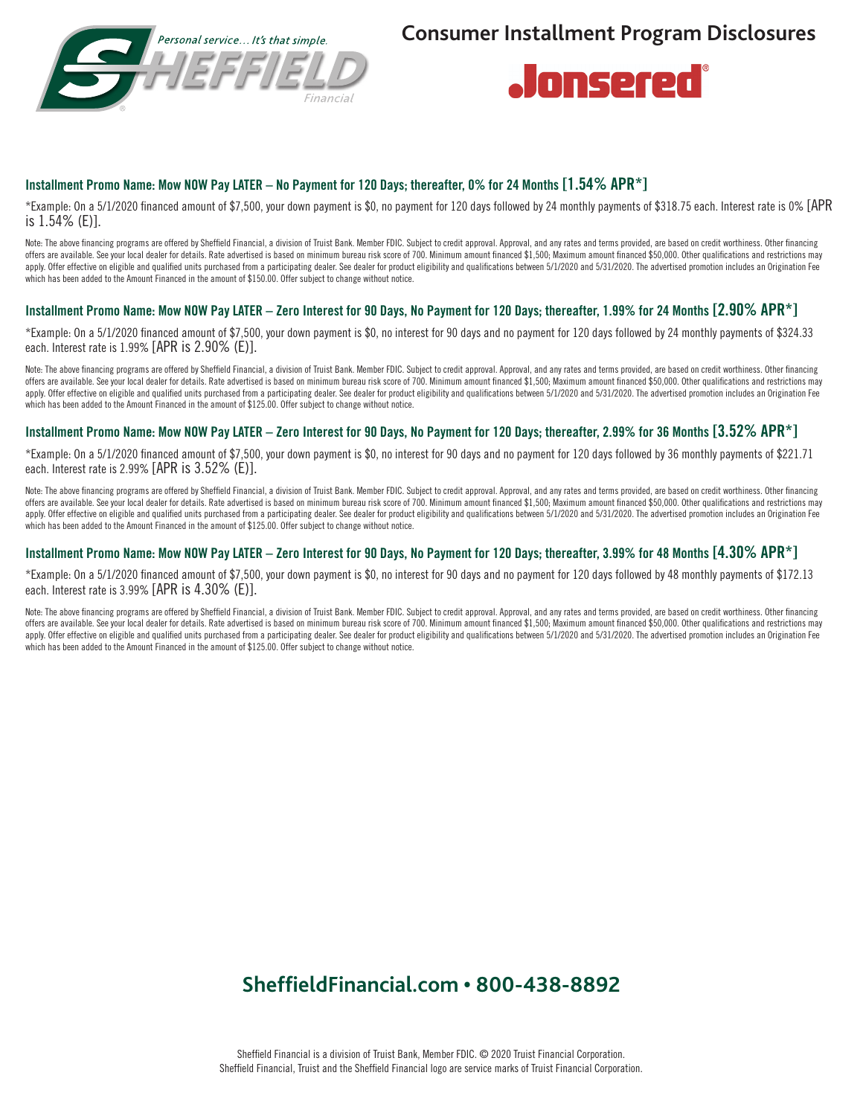



## Installment Promo Name: Mow NOW Pay LATER – No Payment for 120 Days; thereafter, 0% for 24 Months [1.54% APR\*]

\*Example: On a 5/1/2020 financed amount of \$7,500, your down payment is \$0, no payment for 120 days followed by 24 monthly payments of \$318.75 each. Interest rate is 0% [APR is 1.54% (E)].

Note: The above financing programs are offered by Sheffield Financial, a division of Truist Bank. Member FDIC. Subject to credit approval. Approval, and any rates and terms provided, are based on credit worthiness. Other f offers are available. See your local dealer for details. Rate advertised is based on minimum bureau risk score of 700. Minimum amount financed \$1,500; Maximum amount financed \$50,000. Other qualifications and restrictions apply. Offer effective on eligible and qualified units purchased from a participating dealer. See dealer for product eligibility and qualifications between 5/1/2020 and 5/31/2020. The advertised promotion includes an Origi which has been added to the Amount Financed in the amount of \$150.00. Offer subject to change without notice.

#### Installment Promo Name: Mow NOW Pay LATER – Zero Interest for 90 Days, No Payment for 120 Days; thereafter, 1.99% for 24 Months [2.90% APR\*]

\*Example: On a 5/1/2020 financed amount of \$7,500, your down payment is \$0, no interest for 90 days and no payment for 120 days followed by 24 monthly payments of \$324.33 each. Interest rate is 1.99% [APR is 2.90% (E)].

Note: The above financing programs are offered by Sheffield Financial, a division of Truist Bank. Member FDIC. Subject to credit approval. Approval, and any rates and terms provided, are based on credit worthiness. Other f offers are available. See vour local dealer for details. Rate advertised is based on minimum bureau risk score of 700. Minimum amount financed \$1.500: Maximum amount financed \$50.000. Other qualifications and restrictions apply. Offer effective on eligible and qualified units purchased from a participating dealer. See dealer for product eligibility and qualifications between 5/1/2020 and 5/31/2020. The advertised promotion includes an Origi which has been added to the Amount Financed in the amount of \$125.00. Offer subject to change without notice.

#### Installment Promo Name: Mow NOW Pay LATER – Zero Interest for 90 Days, No Payment for 120 Days; thereafter, 2.99% for 36 Months [3.52% APR\*]

\*Example: On a 5/1/2020 financed amount of \$7,500, your down payment is \$0, no interest for 90 days and no payment for 120 days followed by 36 monthly payments of \$221.71 each. Interest rate is 2.99% [APR is 3.52% (E)].

Note: The above financing programs are offered by Sheffield Financial, a division of Truist Bank. Member FDIC. Subject to credit approval. Approval, and any rates and terms provided, are based on credit worthiness. Other f offers are available. See your local dealer for details. Rate advertised is based on minimum bureau risk score of 700. Minimum amount financed \$1,500; Maximum amount financed \$50,000. Other qualifications and restrictions apply. Offer effective on eligible and qualified units purchased from a participating dealer. See dealer for product eligibility and qualifications between 5/1/2020 and 5/31/2020. The advertised promotion includes an Origi which has been added to the Amount Financed in the amount of \$125.00. Offer subject to change without notice.

# Installment Promo Name: Mow NOW Pay LATER – Zero Interest for 90 Days, No Payment for 120 Days; thereafter, 3.99% for 48 Months [4.30% APR\*]

\*Example: On a 5/1/2020 financed amount of \$7,500, your down payment is \$0, no interest for 90 days and no payment for 120 days followed by 48 monthly payments of \$172.13 each. Interest rate is 3.99% [APR is 4.30% (E)].

Note: The above financing programs are offered by Sheffield Financial, a division of Truist Bank. Member FDIC. Subject to credit approval. Approval, and any rates and terms provided, are based on credit worthiness. Other f offers are available. See your local dealer for details. Rate advertised is based on minimum bureau risk score of 700. Minimum amount financed \$1,500; Maximum amount financed \$50,000. Other qualifications and restrictions apply. Offer effective on eligible and qualified units purchased from a participating dealer. See dealer for product eligibility and qualifications between 5/1/2020 and 5/31/2020. The advertised promotion includes an Origi which has been added to the Amount Financed in the amount of \$125.00. Offer subject to change without notice.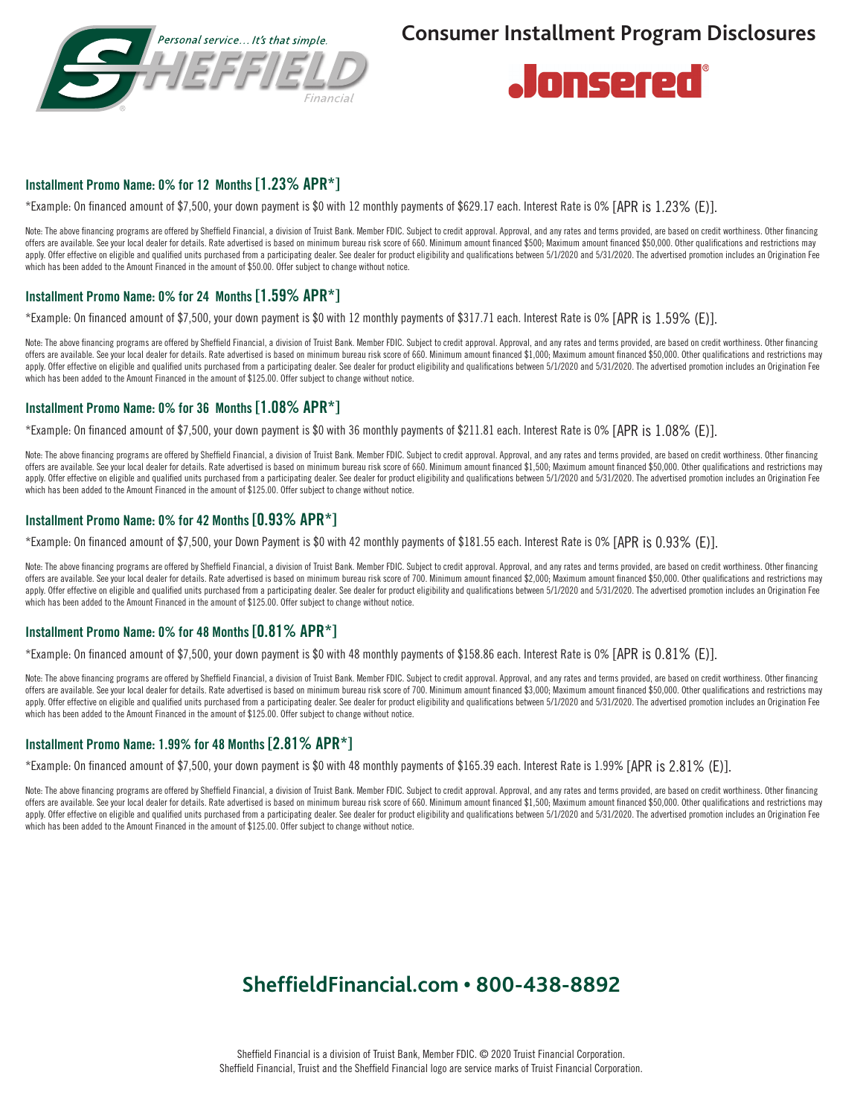



# Installment Promo Name: 0% for 12 Months [1.23% APR\*]

\*Example: On financed amount of \$7,500, your down payment is \$0 with 12 monthly payments of \$629.17 each. Interest Rate is 0% [APR is 1.23% (E)].

Note: The above financing programs are offered by Sheffield Financial, a division of Truist Bank. Member FDIC. Subject to credit approval. Approval, and any rates and terms provided, are based on credit worthiness. Other f offers are available. See your local dealer for details. Rate advertised is based on minimum bureau risk score of 660. Minimum amount financed \$500; Maximum amount financed \$50,000. Other qualifications and restrictions may apply. Offer effective on eligible and qualified units purchased from a participating dealer. See dealer for product eligibility and qualifications between 5/1/2020 and 5/31/2020. The advertised promotion includes an Origi which has been added to the Amount Financed in the amount of \$50.00. Offer subject to change without notice.

# Installment Promo Name: 0% for 24 Months [1.59% APR\*]

\*Example: On financed amount of \$7,500, your down payment is \$0 with 12 monthly payments of \$317.71 each. Interest Rate is 0% [APR is 1.59% (E)].

Note: The above financing programs are offered by Sheffield Financial, a division of Truist Bank. Member FDIC. Subject to credit approval. Approval, and any rates and terms provided, are based on credit worthiness. Other f offers are available. See your local dealer for details. Rate advertised is based on minimum bureau risk score of 660. Minimum amount financed \$1,000, Maximum amount financed \$50,000. Other qualifications and restrictions apply. Offer effective on eligible and qualified units purchased from a participating dealer. See dealer for product eligibility and qualifications between 5/1/2020 and 5/31/2020. The advertised promotion includes an Origi which has been added to the Amount Financed in the amount of \$125.00. Offer subject to change without notice.

## Installment Promo Name: 0% for 36 Months [1.08% APR\*]

\*Example: On financed amount of \$7,500, your down payment is \$0 with 36 monthly payments of \$211.81 each. Interest Rate is 0% [APR is 1.08% (E)].

Note: The above financing programs are offered by Sheffield Financial, a division of Truist Bank. Member FDIC. Subject to credit approval. Approval, and any rates and terms provided, are based on credit worthiness. Other f offers are available. See your local dealer for details. Rate advertised is based on minimum bureau risk score of 660. Minimum amount financed \$1,500; Maximum amount financed \$50,000. Other qualifications and restrictions apply. Offer effective on eligible and qualified units purchased from a participating dealer. See dealer for product eligibility and qualifications between 5/1/2020 and 5/31/2020. The advertised promotion includes an Origi which has been added to the Amount Financed in the amount of \$125.00. Offer subject to change without notice.

### Installment Promo Name: 0% for 42 Months [0.93% APR\*]

\*Example: On financed amount of \$7,500, your Down Payment is \$0 with 42 monthly payments of \$181.55 each. Interest Rate is 0% [APR is 0.93% (E)].

Note: The above financing programs are offered by Sheffield Financial, a division of Truist Bank. Member FDIC. Subject to credit approval. Approval, and any rates and terms provided, are based on credit worthiness. Other f offers are available. See your local dealer for details. Rate advertised is based on minimum bureau risk score of 700. Minimum amount financed \$2,000; Maximum amount financed \$50,000. Other qualifications and restrictions apply. Offer effective on eligible and qualified units purchased from a participating dealer. See dealer for product eligibility and qualifications between 5/1/2020 and 5/31/2020. The advertised promotion includes an Origi which has been added to the Amount Financed in the amount of \$125.00. Offer subject to change without notice.

## Installment Promo Name: 0% for 48 Months [0.81% APR\*]

\*Example: On financed amount of \$7,500, your down payment is \$0 with 48 monthly payments of \$158.86 each. Interest Rate is 0% [APR is 0.81% (E)].

Note: The above financing programs are offered by Sheffield Financial, a division of Truist Bank. Member FDIC. Subject to credit approval. Approval, and any rates and terms provided, are based on credit worthiness. Other f offers are available. See your local dealer for details. Rate advertised is based on minimum bureau risk score of 700. Minimum amount financed \$3,000; Maximum amount financed \$50,000. Other qualifications and restrictions apply. Offer effective on eligible and qualified units purchased from a participating dealer. See dealer for product eligibility and qualifications between 5/1/2020 and 5/31/2020. The advertised promotion includes an Origi which has been added to the Amount Financed in the amount of \$125.00. Offer subject to change without notice.

### Installment Promo Name: 1.99% for 48 Months [2.81% APR\*]

\*Example: On financed amount of \$7,500, your down payment is \$0 with 48 monthly payments of \$165.39 each. Interest Rate is 1.99% [APR is 2.81% (E)].

Note: The above financing programs are offered by Sheffield Financial, a division of Truist Bank. Member FDIC. Subject to credit approval. Approval, and any rates and terms provided, are based on credit worthiness. Other f offers are available. See your local dealer for details. Rate advertised is based on minimum bureau risk score of 660. Minimum amount financed \$1,500; Maximum amount financed \$50,000. Other qualifications and restrictions apply. Offer effective on eligible and qualified units purchased from a participating dealer. See dealer for product eligibility and qualifications between 5/1/2020 and 5/31/2020. The advertised promotion includes an Origi which has been added to the Amount Financed in the amount of \$125.00. Offer subject to change without notice.